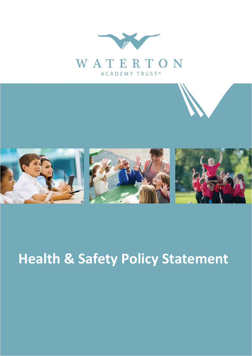



## **Health & Safety Policy Statement**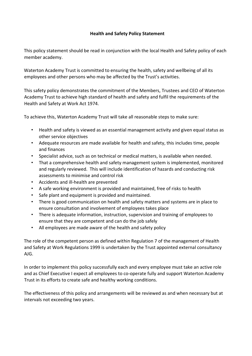## **Health and Safety Policy Statement**

This policy statement should be read in conjunction with the local Health and Safety policy of each member academy.

Waterton Academy Trust is committed to ensuring the health, safety and wellbeing of all its employees and other persons who may be affected by the Trust's activities.

This safety policy demonstrates the commitment of the Members, Trustees and CEO of Waterton Academy Trust to achieve high standard of health and safety and fulfil the requirements of the Health and Safety at Work Act 1974.

To achieve this, Waterton Academy Trust will take all reasonable steps to make sure:

- Health and safety is viewed as an essential management activity and given equal status as other service objectives
- Adequate resources are made available for health and safety, this includes time, people and finances
- Specialist advice, such as on technical or medical matters, is available when needed.
- That a comprehensive health and safety management system is implemented, monitored and regularly reviewed. This will include identification of hazards and conducting risk assessments to minimise and control risk
- Accidents and ill-health are prevented
- A safe working environment is provided and maintained, free of risks to health
- Safe plant and equipment is provided and maintained.
- There is good communication on health and safety matters and systems are in place to ensure consultation and involvement of employees takes place
- There is adequate information, instruction, supervision and training of employees to ensure that they are competent and can do the job safely
- All employees are made aware of the health and safety policy

The role of the competent person as defined within Regulation 7 of the management of Health and Safety at Work Regulations 1999 is undertaken by the Trust appointed external consultancy AJG.

In order to implement this policy successfully each and every employee must take an active role and as Chief Executive I expect all employees to co-operate fully and support Waterton Academy Trust in its efforts to create safe and healthy working conditions.

The effectiveness of this policy and arrangements will be reviewed as and when necessary but at intervals not exceeding two years.